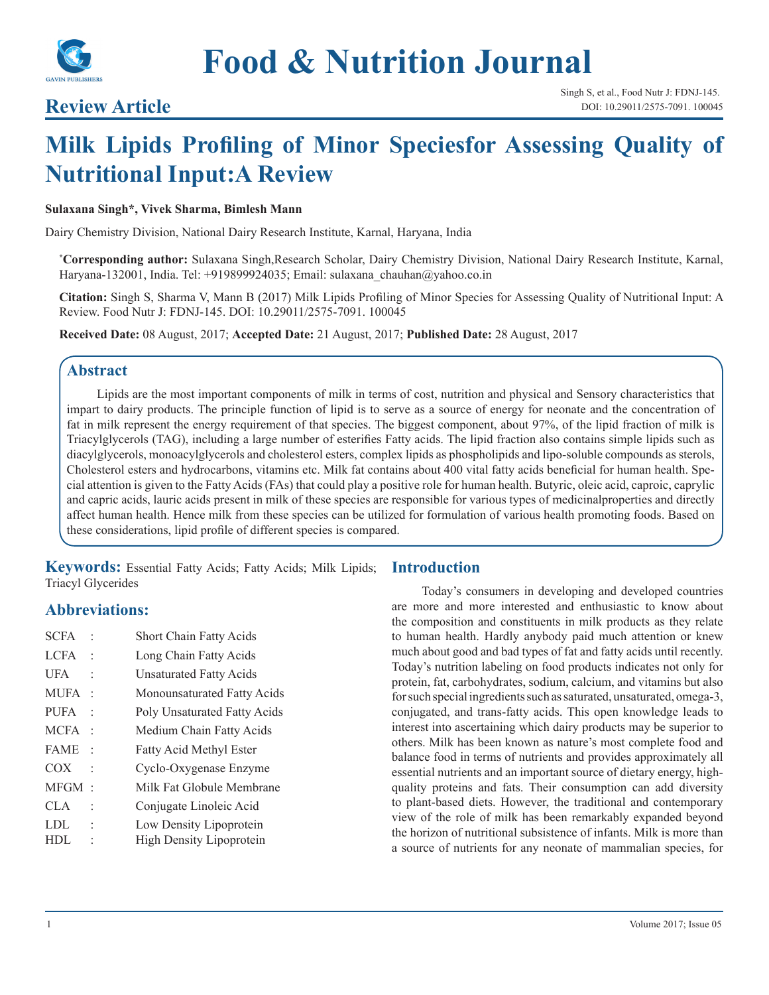

## **Review Article**

# **Milk Lipids Profiling of Minor Speciesfor Assessing Quality of Nutritional Input:A Review**

#### **Sulaxana Singh\*, Vivek Sharma, Bimlesh Mann**

Dairy Chemistry Division, National Dairy Research Institute, Karnal, Haryana, India

**\* Corresponding author:** Sulaxana Singh,Research Scholar, Dairy Chemistry Division, National Dairy Research Institute, Karnal, Haryana-132001, India. Tel: +919899924035; Email: sulaxana chauhan@yahoo.co.in

**Citation:** Singh S, Sharma V, Mann B (2017) Milk Lipids Profiling of Minor Species for Assessing Quality of Nutritional Input: A Review. Food Nutr J: FDNJ-145. DOI: 10.29011/2575-7091. 100045

**Received Date:** 08 August, 2017; **Accepted Date:** 21 August, 2017; **Published Date:** 28 August, 2017

## **Abstract**

Lipids are the most important components of milk in terms of cost, nutrition and physical and Sensory characteristics that impart to dairy products. The principle function of lipid is to serve as a source of energy for neonate and the concentration of fat in milk represent the energy requirement of that species. The biggest component, about 97%, of the lipid fraction of milk is Triacylglycerols (TAG), including a large number of esterifies Fatty acids. The lipid fraction also contains simple lipids such as diacylglycerols, monoacylglycerols and cholesterol esters, complex lipids as phospholipids and lipo-soluble compounds as sterols, Cholesterol esters and hydrocarbons, vitamins etc. Milk fat contains about 400 vital fatty acids beneficial for human health. Special attention is given to the Fatty Acids (FAs) that could play a positive role for human health. Butyric, oleic acid, caproic, caprylic and capric acids, lauric acids present in milk of these species are responsible for various types of medicinalproperties and directly affect human health. Hence milk from these species can be utilized for formulation of various health promoting foods. Based on these considerations, lipid profile of different species is compared.

**Keywords:** Essential Fatty Acids; Fatty Acids; Milk Lipids; Triacyl Glycerides

## **Abbreviations:**

| <b>SCFA</b> |                          | <b>Short Chain Fatty Acids</b>  |
|-------------|--------------------------|---------------------------------|
| LCFA.       |                          | Long Chain Fatty Acids          |
| UFA         |                          | Unsaturated Fatty Acids         |
| MUFA        |                          | Monounsaturated Fatty Acids     |
| <b>PUFA</b> |                          | Poly Unsaturated Fatty Acids    |
| <b>MCFA</b> |                          | Medium Chain Fatty Acids        |
| <b>FAME</b> | $\overline{\phantom{a}}$ | Fatty Acid Methyl Ester         |
| COX         |                          | Cyclo-Oxygenase Enzyme          |
| MFGM        | $\cdot$                  | Milk Fat Globule Membrane       |
| CLA         |                          | Conjugate Linoleic Acid         |
| LDL         |                          | Low Density Lipoprotein         |
| HDL.        |                          | <b>High Density Lipoprotein</b> |
|             |                          |                                 |

## **Introduction**

Today's consumers in developing and developed countries are more and more interested and enthusiastic to know about the composition and constituents in milk products as they relate to human health. Hardly anybody paid much attention or knew much about good and bad types of fat and fatty acids until recently. Today's nutrition labeling on food products indicates not only for protein, fat, carbohydrates, sodium, calcium, and vitamins but also for such special ingredients such as saturated, unsaturated, omega-3, conjugated, and trans-fatty acids. This open knowledge leads to interest into ascertaining which dairy products may be superior to others. Milk has been known as nature's most complete food and balance food in terms of nutrients and provides approximately all essential nutrients and an important source of dietary energy, highquality proteins and fats. Their consumption can add diversity to plant-based diets. However, the traditional and contemporary view of the role of milk has been remarkably expanded beyond the horizon of nutritional subsistence of infants. Milk is more than a source of nutrients for any neonate of mammalian species, for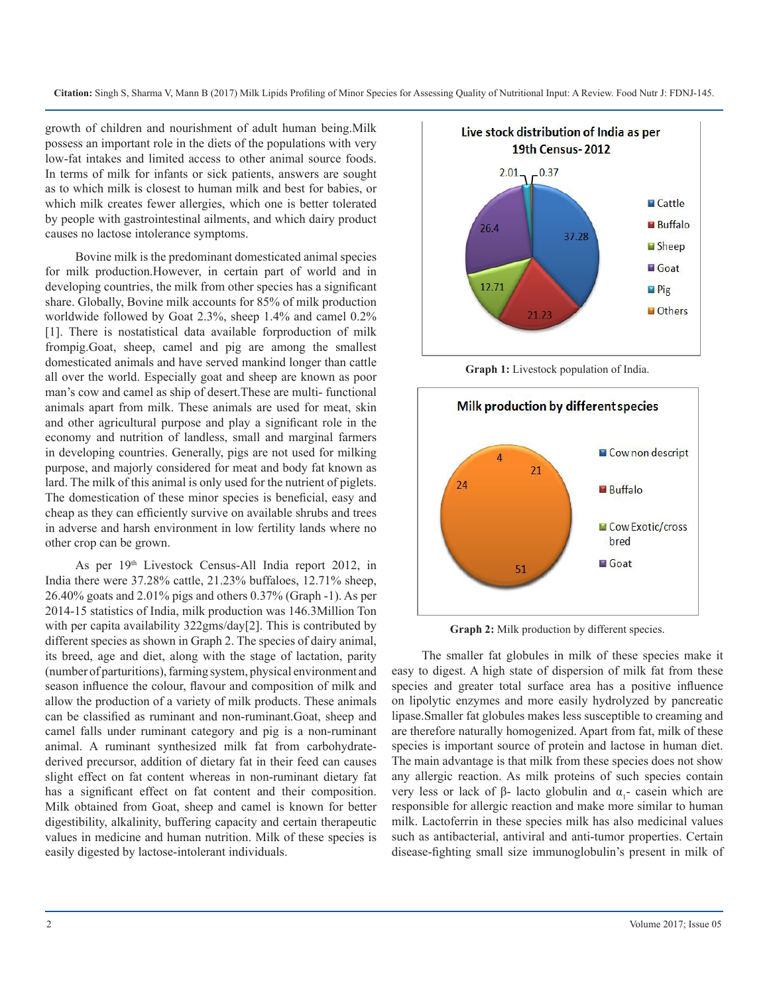growth of children and nourishment of adult human being.Milk possess an important role in the diets of the populations with very low-fat intakes and limited access to other animal source foods. In terms of milk for infants or sick patients, answers are sought as to which milk is closest to human milk and best for babies, or which milk creates fewer allergies, which one is better tolerated by people with gastrointestinal ailments, and which dairy product causes no lactose intolerance symptoms.

Bovine milk is the predominant domesticated animal species for milk production.However, in certain part of world and in developing countries, the milk from other species has a significant share. Globally, Bovine milk accounts for 85% of milk production worldwide followed by Goat 2.3%, sheep 1.4% and camel 0.2% [1]. There is nostatistical data available forproduction of milk frompig.Goat, sheep, camel and pig are among the smallest domesticated animals and have served mankind longer than cattle all over the world. Especially goat and sheep are known as poor man's cow and camel as ship of desert.These are multi- functional animals apart from milk. These animals are used for meat, skin and other agricultural purpose and play a significant role in the economy and nutrition of landless, small and marginal farmers in developing countries. Generally, pigs are not used for milking purpose, and majorly considered for meat and body fat known as lard. The milk of this animal is only used for the nutrient of piglets. The domestication of these minor species is beneficial, easy and cheap as they can efficiently survive on available shrubs and trees in adverse and harsh environment in low fertility lands where no other crop can be grown.

As per 19th Livestock Census-All India report 2012, in India there were 37.28% cattle, 21.23% buffaloes, 12.71% sheep, 26.40% goats and 2.01% pigs and others 0.37% (Graph -1). As per 2014-15 statistics of India, milk production was 146.3Million Ton with per capita availability 322gms/day[2]. This is contributed by different species as shown in Graph 2. The species of dairy animal, its breed, age and diet, along with the stage of lactation, parity (number of parturitions), farming system, physical environment and season influence the colour, flavour and composition of milk and allow the production of a variety of milk products. These animals can be classified as ruminant and non-ruminant.Goat, sheep and camel falls under ruminant category and pig is a non-ruminant animal. A ruminant synthesized milk fat from carbohydratederived precursor, addition of dietary fat in their feed can causes slight effect on fat content whereas in non-ruminant dietary fat has a significant effect on fat content and their composition. Milk obtained from Goat, sheep and camel is known for better digestibility, alkalinity, buffering capacity and certain therapeutic values in medicine and human nutrition. Milk of these species is easily digested by lactose-intolerant individuals.



**Graph 1:** Livestock population of India.



**Graph 2:** Milk production by different species.

The smaller fat globules in milk of these species make it easy to digest. A high state of dispersion of milk fat from these species and greater total surface area has a positive influence on lipolytic enzymes and more easily hydrolyzed by pancreatic lipase.Smaller fat globules makes less susceptible to creaming and are therefore naturally homogenized. Apart from fat, milk of these species is important source of protein and lactose in human diet. The main advantage is that milk from these species does not show any allergic reaction. As milk proteins of such species contain very less or lack of β- lacto globulin and  $\alpha_1$ - casein which are responsible for allergic reaction and make more similar to human milk. Lactoferrin in these species milk has also medicinal values such as antibacterial, antiviral and anti-tumor properties. Certain disease-fighting small size immunoglobulin's present in milk of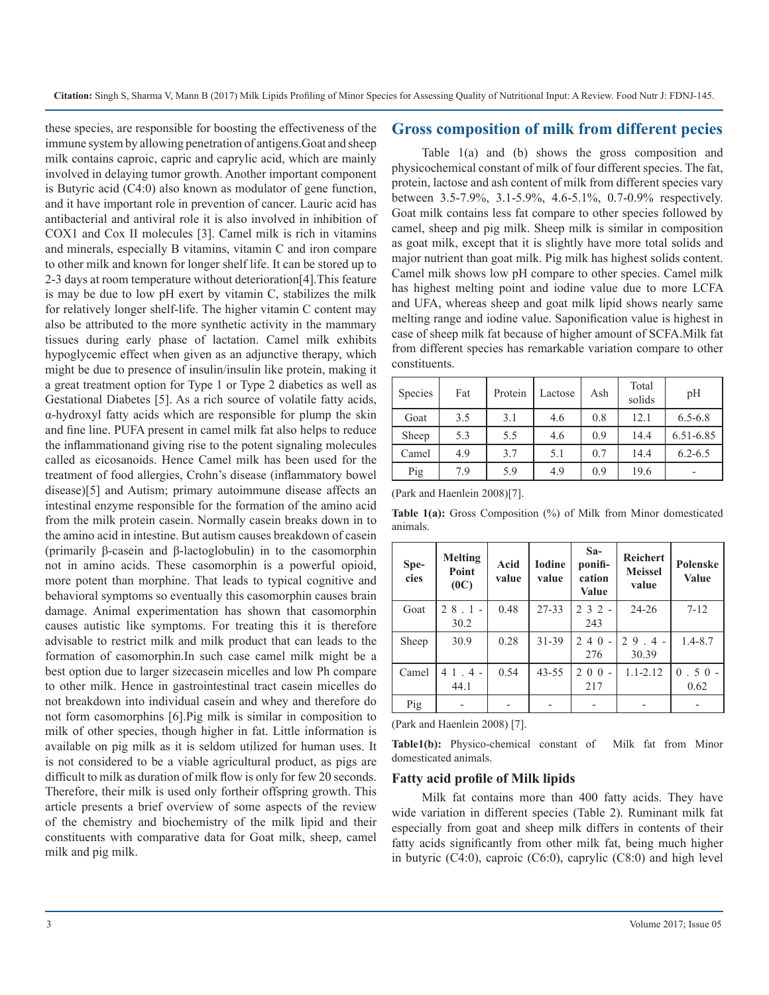these species, are responsible for boosting the effectiveness of the immune system by allowing penetration of antigens.Goat and sheep milk contains caproic, capric and caprylic acid, which are mainly involved in delaying tumor growth. Another important component is Butyric acid (C4:0) also known as modulator of gene function, and it have important role in prevention of cancer. Lauric acid has antibacterial and antiviral role it is also involved in inhibition of COX1 and Cox II molecules [3]. Camel milk is rich in vitamins and minerals, especially B vitamins, vitamin C and iron compare to other milk and known for longer shelf life. It can be stored up to 2-3 days at room temperature without deterioration[4].This feature is may be due to low pH exert by vitamin C, stabilizes the milk for relatively longer shelf-life. The higher vitamin C content may also be attributed to the more synthetic activity in the mammary tissues during early phase of lactation. Camel milk exhibits hypoglycemic effect when given as an adjunctive therapy, which might be due to presence of insulin/insulin like protein, making it a great treatment option for Type 1 or Type 2 diabetics as well as Gestational Diabetes [5]. As a rich source of volatile fatty acids, α-hydroxyl fatty acids which are responsible for plump the skin and fine line. PUFA present in camel milk fat also helps to reduce the inflammationand giving rise to the potent signaling molecules called as eicosanoids. Hence Camel milk has been used for the treatment of food allergies, Crohn's disease (inflammatory bowel disease)[5] and Autism; primary autoimmune disease affects an intestinal enzyme responsible for the formation of the amino acid from the milk protein casein. Normally casein breaks down in to the amino acid in intestine. But autism causes breakdown of casein (primarily β-casein and β-lactoglobulin) in to the casomorphin not in amino acids. These casomorphin is a powerful opioid, more potent than morphine. That leads to typical cognitive and behavioral symptoms so eventually this casomorphin causes brain damage. Animal experimentation has shown that casomorphin causes autistic like symptoms. For treating this it is therefore advisable to restrict milk and milk product that can leads to the formation of casomorphin.In such case camel milk might be a best option due to larger sizecasein micelles and low Ph compare to other milk. Hence in gastrointestinal tract casein micelles do not breakdown into individual casein and whey and therefore do not form casomorphins [6].Pig milk is similar in composition to milk of other species, though higher in fat. Little information is available on pig milk as it is seldom utilized for human uses. It is not considered to be a viable agricultural product, as pigs are difficult to milk as duration of milk flow is only for few 20 seconds. Therefore, their milk is used only fortheir offspring growth. This article presents a brief overview of some aspects of the review of the chemistry and biochemistry of the milk lipid and their constituents with comparative data for Goat milk, sheep, camel milk and pig milk.

#### **Gross composition of milk from different pecies**

Table 1(a) and (b) shows the gross composition and physicochemical constant of milk of four different species. The fat, protein, lactose and ash content of milk from different species vary between 3.5-7.9%, 3.1-5.9%, 4.6-5.1%, 0.7-0.9% respectively. Goat milk contains less fat compare to other species followed by camel, sheep and pig milk. Sheep milk is similar in composition as goat milk, except that it is slightly have more total solids and major nutrient than goat milk. Pig milk has highest solids content. Camel milk shows low pH compare to other species. Camel milk has highest melting point and iodine value due to more LCFA and UFA, whereas sheep and goat milk lipid shows nearly same melting range and iodine value. Saponification value is highest in case of sheep milk fat because of higher amount of SCFA.Milk fat from different species has remarkable variation compare to other constituents.

| Species | Fat | Protein | Lactose | Ash | Total<br>solids | pH                       |
|---------|-----|---------|---------|-----|-----------------|--------------------------|
| Goat    | 3.5 | 3.1     | 4.6     | 0.8 | 12.1            | $6.5 - 6.8$              |
| Sheep   | 5.3 | 5.5     | 4.6     | 0.9 | 14.4            | 6.51-6.85                |
| Camel   | 4.9 | 3.7     | 5.1     | 0.7 | 14.4            | $6.2 - 6.5$              |
| Pig     | 7.9 | 5.9     | 4.9     | 0.9 | 19.6            | $\overline{\phantom{0}}$ |

(Park and Haenlein 2008)[7].

**Table 1(a):** Gross Composition (%) of Milk from Minor domesticated animals.

| Spe-<br>cies | <b>Melting</b><br>Point<br>(0C) | Acid<br>value | <b>Iodine</b><br>value | $Sa-$<br>ponifi-<br>cation<br>Value | <b>Reichert</b><br><b>Meissel</b><br>value | <b>Polenske</b><br><b>Value</b> |
|--------------|---------------------------------|---------------|------------------------|-------------------------------------|--------------------------------------------|---------------------------------|
| Goat         | 28.1<br>30.2                    | 0.48          | $27 - 33$              | $232 -$<br>243                      | $24 - 26$                                  | $7 - 12$                        |
| Sheep        | 30.9                            | 0.28          | 31-39                  | 4 0<br>$\mathfrak{D}$<br>276        | $29.4 -$<br>30.39                          | $1.4 - 8.7$                     |
| Camel        | $1.4 -$<br>4<br>44.1            | 0.54          | $43 - 55$              | 200<br>217                          | $1.1 - 2.12$                               | .50<br>$\Omega$<br>0.62         |
| Pig          |                                 |               |                        |                                     |                                            |                                 |

(Park and Haenlein 2008) [7].

**Table1(b):** Physico-chemical constant of Milk fat from Minor domesticated animals.

#### **Fatty acid profile of Milk lipids**

Milk fat contains more than 400 fatty acids. They have wide variation in different species (Table 2). Ruminant milk fat especially from goat and sheep milk differs in contents of their fatty acids significantly from other milk fat, being much higher in butyric (C4:0), caproic (C6:0), caprylic (C8:0) and high level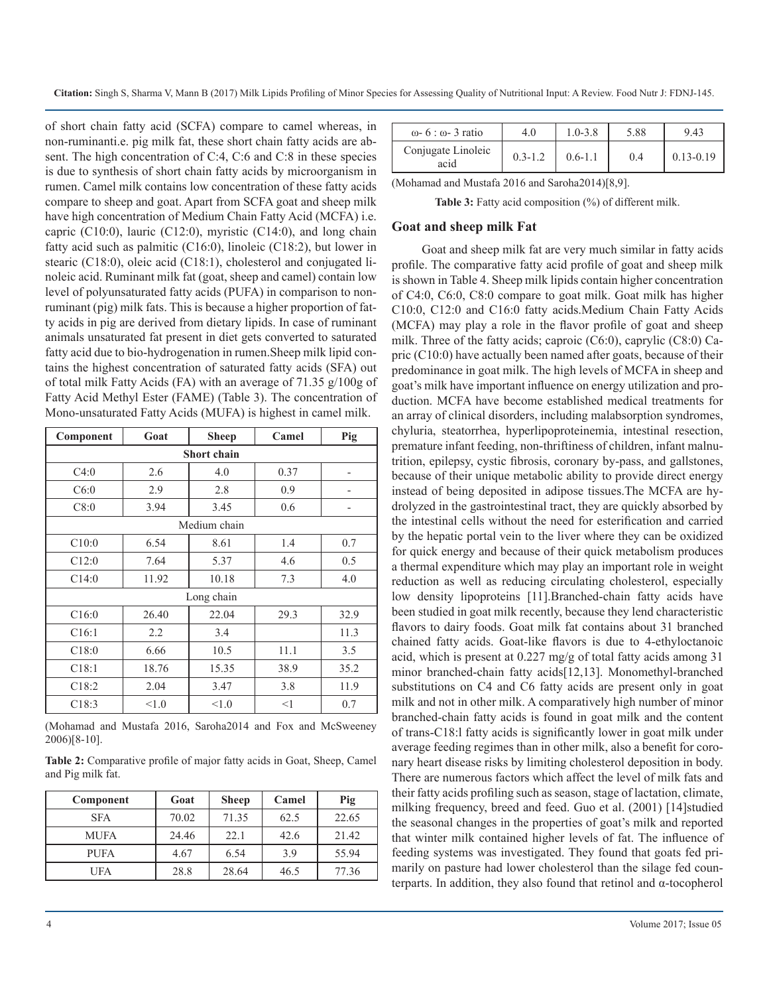of short chain fatty acid (SCFA) compare to camel whereas, in non-ruminanti.e. pig milk fat, these short chain fatty acids are absent. The high concentration of C:4, C:6 and C:8 in these species is due to synthesis of short chain fatty acids by microorganism in rumen. Camel milk contains low concentration of these fatty acids compare to sheep and goat. Apart from SCFA goat and sheep milk have high concentration of Medium Chain Fatty Acid (MCFA) i.e. capric (C10:0), lauric (C12:0), myristic (C14:0), and long chain fatty acid such as palmitic (C16:0), linoleic (C18:2), but lower in stearic (C18:0), oleic acid (C18:1), cholesterol and conjugated linoleic acid. Ruminant milk fat (goat, sheep and camel) contain low level of polyunsaturated fatty acids (PUFA) in comparison to nonruminant (pig) milk fats. This is because a higher proportion of fatty acids in pig are derived from dietary lipids. In case of ruminant animals unsaturated fat present in diet gets converted to saturated fatty acid due to bio-hydrogenation in rumen.Sheep milk lipid contains the highest concentration of saturated fatty acids (SFA) out of total milk Fatty Acids (FA) with an average of 71.35 g/100g of Fatty Acid Methyl Ester (FAME) (Table 3). The concentration of Mono-unsaturated Fatty Acids (MUFA) is highest in camel milk.

| Component | Goat               | <b>Sheep</b> | Camel | Pig  |  |  |  |
|-----------|--------------------|--------------|-------|------|--|--|--|
|           | <b>Short chain</b> |              |       |      |  |  |  |
| C4:0      | 2.6                | 4.0          | 0.37  |      |  |  |  |
| C6:0      | 2.9                | 2.8          | 0.9   | -    |  |  |  |
| C8:0      | 3.94               | 3.45         | 0.6   |      |  |  |  |
|           |                    | Medium chain |       |      |  |  |  |
| C10:0     | 6.54               | 8.61         | 1.4   | 0.7  |  |  |  |
| C12:0     | 7.64               | 5.37         | 4.6   | 0.5  |  |  |  |
| C14:0     | 11.92              | 10.18        | 7.3   | 4.0  |  |  |  |
|           |                    | Long chain   |       |      |  |  |  |
| C16:0     | 26.40              | 22.04        | 29.3  | 32.9 |  |  |  |
| C16:1     | 2.2                | 3.4          |       | 11.3 |  |  |  |
| C18:0     | 6.66               | 10.5         | 11.1  | 3.5  |  |  |  |
| C18:1     | 18.76              | 15.35        | 38.9  | 35.2 |  |  |  |
| C18:2     | 2.04               | 3.47         | 3.8   | 11.9 |  |  |  |
| C18:3     | < 1.0              | < 1.0        | $<$ 1 | 0.7  |  |  |  |

(Mohamad and Mustafa 2016, Saroha2014 and Fox and McSweeney 2006)[8-10].

**Table 2:** Comparative profile of major fatty acids in Goat, Sheep, Camel and Pig milk fat.

| Component   | Goat  | <b>Sheep</b> | Camel | Pig   |
|-------------|-------|--------------|-------|-------|
| <b>SFA</b>  | 70.02 | 71.35        | 62.5  | 22.65 |
| <b>MUFA</b> | 24.46 | 22.1         | 42.6  | 21.42 |
| <b>PUFA</b> | 4.67  | 6.54         | 3.9   | 55.94 |
| UFA         | 28.8  | 28.64        | 46.5  | 77.36 |

| $\omega$ - 6 : $\omega$ - 3 ratio | 4.0         | $1.0 - 3.8$ | 5.88 | 9.43          |
|-----------------------------------|-------------|-------------|------|---------------|
| Conjugate Linoleic<br>acid        | $0.3 - 1.2$ | $0.6 - 1.1$ | 0.4  | $0.13 - 0.19$ |

(Mohamad and Mustafa 2016 and Saroha2014)[8,9].

**Table 3:** Fatty acid composition (%) of different milk.

#### **Goat and sheep milk Fat**

Goat and sheep milk fat are very much similar in fatty acids profile. The comparative fatty acid profile of goat and sheep milk is shown in Table 4. Sheep milk lipids contain higher concentration of C4:0, C6:0, C8:0 compare to goat milk. Goat milk has higher C10:0, C12:0 and C16:0 fatty acids.Medium Chain Fatty Acids (MCFA) may play a role in the flavor profile of goat and sheep milk. Three of the fatty acids; caproic (C6:0), caprylic (C8:0) Capric (C10:0) have actually been named after goats, because of their predominance in goat milk. The high levels of MCFA in sheep and goat's milk have important influence on energy utilization and production. MCFA have become established medical treatments for an array of clinical disorders, including malabsorption syndromes, chyluria, steatorrhea, hyperlipoproteinemia, intestinal resection, premature infant feeding, non-thriftiness of children, infant malnutrition, epilepsy, cystic fibrosis, coronary by-pass, and gallstones, because of their unique metabolic ability to provide direct energy instead of being deposited in adipose tissues.The MCFA are hydrolyzed in the gastrointestinal tract, they are quickly absorbed by the intestinal cells without the need for esterification and carried by the hepatic portal vein to the liver where they can be oxidized for quick energy and because of their quick metabolism produces a thermal expenditure which may play an important role in weight reduction as well as reducing circulating cholesterol, especially low density lipoproteins [11].Branched-chain fatty acids have been studied in goat milk recently, because they lend characteristic flavors to dairy foods. Goat milk fat contains about 31 branched chained fatty acids. Goat-like flavors is due to 4-ethyloctanoic acid, which is present at 0.227 mg/g of total fatty acids among 31 minor branched-chain fatty acids[12,13]. Monomethyl-branched substitutions on C4 and C6 fatty acids are present only in goat milk and not in other milk. A comparatively high number of minor branched-chain fatty acids is found in goat milk and the content of trans-C18:l fatty acids is significantly lower in goat milk under average feeding regimes than in other milk, also a benefit for coronary heart disease risks by limiting cholesterol deposition in body. There are numerous factors which affect the level of milk fats and their fatty acids profiling such as season, stage of lactation, climate, milking frequency, breed and feed. Guo et al. (2001) [14]studied the seasonal changes in the properties of goat's milk and reported that winter milk contained higher levels of fat. The influence of feeding systems was investigated. They found that goats fed primarily on pasture had lower cholesterol than the silage fed counterparts. In addition, they also found that retinol and α-tocopherol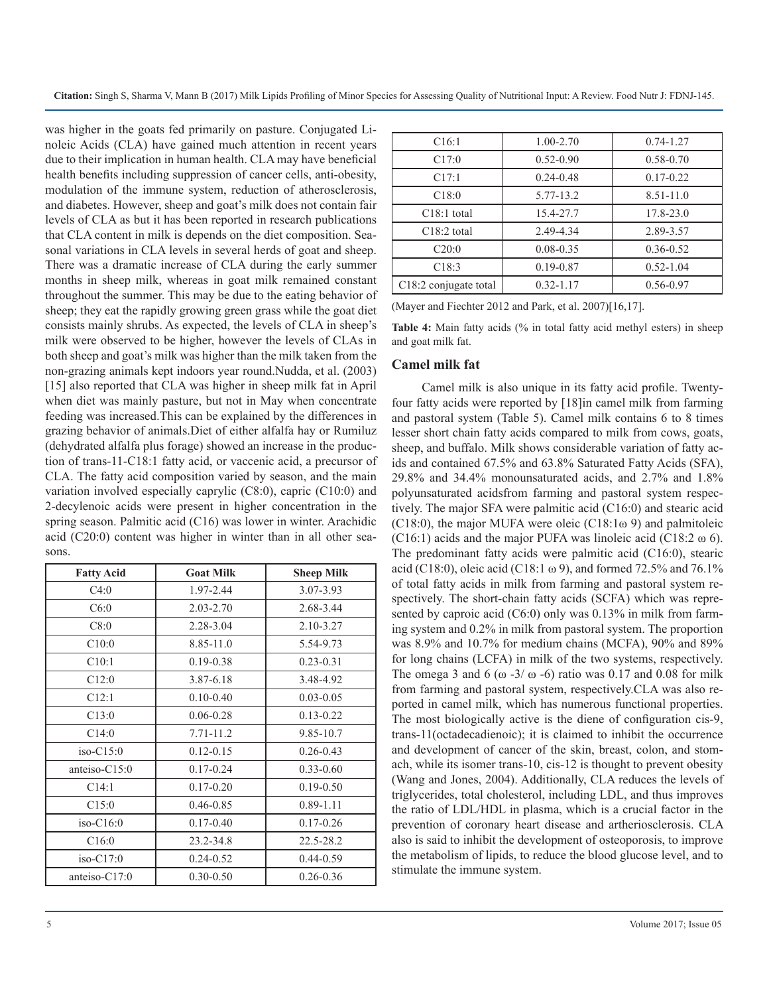was higher in the goats fed primarily on pasture. Conjugated Linoleic Acids (CLA) have gained much attention in recent years due to their implication in human health. CLA may have beneficial health benefits including suppression of cancer cells, anti-obesity, modulation of the immune system, reduction of atherosclerosis, and diabetes. However, sheep and goat's milk does not contain fair levels of CLA as but it has been reported in research publications that CLA content in milk is depends on the diet composition. Seasonal variations in CLA levels in several herds of goat and sheep. There was a dramatic increase of CLA during the early summer months in sheep milk, whereas in goat milk remained constant throughout the summer. This may be due to the eating behavior of sheep; they eat the rapidly growing green grass while the goat diet consists mainly shrubs. As expected, the levels of CLA in sheep's milk were observed to be higher, however the levels of CLAs in both sheep and goat's milk was higher than the milk taken from the non-grazing animals kept indoors year round.Nudda, et al. (2003) [15] also reported that CLA was higher in sheep milk fat in April when diet was mainly pasture, but not in May when concentrate feeding was increased.This can be explained by the differences in grazing behavior of animals.Diet of either alfalfa hay or Rumiluz (dehydrated alfalfa plus forage) showed an increase in the production of trans-11-C18:1 fatty acid, or vaccenic acid, a precursor of CLA. The fatty acid composition varied by season, and the main variation involved especially caprylic (C8:0), capric (C10:0) and 2-decylenoic acids were present in higher concentration in the spring season. Palmitic acid (C16) was lower in winter. Arachidic acid (C20:0) content was higher in winter than in all other seasons.

| <b>Fatty Acid</b> | <b>Goat Milk</b> | <b>Sheep Milk</b> |
|-------------------|------------------|-------------------|
| C4:0              | 1.97-2.44        | 3.07-3.93         |
| C6:0              | $2.03 - 2.70$    | 2.68-3.44         |
| C8:0              | 2.28-3.04        | 2.10-3.27         |
| C10:0             | 8.85-11.0        | 5.54-9.73         |
| C10:1             | $0.19 - 0.38$    | $0.23 - 0.31$     |
| C12:0             | 3.87-6.18        | 3.48-4.92         |
| C12:1             | $0.10 - 0.40$    | $0.03 - 0.05$     |
| C13:0             | $0.06 - 0.28$    | $0.13 - 0.22$     |
| C14:0             | 7.71-11.2        | 9.85-10.7         |
| $iso-C15:0$       | $0.12 - 0.15$    | $0.26 - 0.43$     |
| anteiso- $C15:0$  | $0.17 - 0.24$    | $0.33 - 0.60$     |
| C14:1             | $0.17 - 0.20$    | $0.19 - 0.50$     |
| C15:0             | $0.46 - 0.85$    | $0.89 - 1.11$     |
| $iso-C16:0$       | $0.17 - 0.40$    | $0.17 - 0.26$     |
| C16:0             | 23.2-34.8        | 22.5-28.2         |
| $iso-C17:0$       | $0.24 - 0.52$    | $0.44 - 0.59$     |
| anteiso- $C17:0$  | $0.30 - 0.50$    | $0.26 - 0.36$     |

| C16:1                             | 1.00-2.70     | $0.74 - 1.27$ |
|-----------------------------------|---------------|---------------|
| C17:0                             | $0.52 - 0.90$ | $0.58 - 0.70$ |
| C17:1                             | $0.24 - 0.48$ | $0.17 - 0.22$ |
| C18:0                             | 5.77-13.2     | 8.51-11.0     |
| $C18:1$ total                     | 15.4-27.7     | $17.8 - 23.0$ |
| $C18:2$ total                     | 2.49-4.34     | 2.89-3.57     |
| C20:0                             | $0.08 - 0.35$ | $0.36 - 0.52$ |
| C18:3                             | $0.19 - 0.87$ | $0.52 - 1.04$ |
| C <sub>18:2</sub> conjugate total | $0.32 - 1.17$ | 0.56-0.97     |
|                                   |               |               |

(Mayer and Fiechter 2012 and Park, et al. 2007)[16,17].

**Table 4:** Main fatty acids (% in total fatty acid methyl esters) in sheep and goat milk fat.

#### **Camel milk fat**

Camel milk is also unique in its fatty acid profile. Twentyfour fatty acids were reported by [18]in camel milk from farming and pastoral system (Table 5). Camel milk contains 6 to 8 times lesser short chain fatty acids compared to milk from cows, goats, sheep, and buffalo. Milk shows considerable variation of fatty acids and contained 67.5% and 63.8% Saturated Fatty Acids (SFA), 29.8% and 34.4% monounsaturated acids, and 2.7% and 1.8% polyunsaturated acidsfrom farming and pastoral system respectively. The major SFA were palmitic acid (C16:0) and stearic acid (C18:0), the major MUFA were oleic (C18:1ω 9) and palmitoleic (C16:1) acids and the major PUFA was linoleic acid (C18:2  $\omega$  6). The predominant fatty acids were palmitic acid (C16:0), stearic acid (C18:0), oleic acid (C18:1  $\omega$  9), and formed 72.5% and 76.1% of total fatty acids in milk from farming and pastoral system respectively. The short-chain fatty acids (SCFA) which was represented by caproic acid (C6:0) only was 0.13% in milk from farming system and 0.2% in milk from pastoral system. The proportion was 8.9% and 10.7% for medium chains (MCFA), 90% and 89% for long chains (LCFA) in milk of the two systems, respectively. The omega 3 and 6 ( $\omega$  -3/ $\omega$  -6) ratio was 0.17 and 0.08 for milk from farming and pastoral system, respectively.CLA was also reported in camel milk, which has numerous functional properties. The most biologically active is the diene of configuration cis-9, trans-11(octadecadienoic); it is claimed to inhibit the occurrence and development of cancer of the skin, breast, colon, and stomach, while its isomer trans-10, cis-12 is thought to prevent obesity (Wang and Jones, 2004). Additionally, CLA reduces the levels of triglycerides, total cholesterol, including LDL, and thus improves the ratio of LDL/HDL in plasma, which is a crucial factor in the prevention of coronary heart disease and artheriosclerosis. CLA also is said to inhibit the development of osteoporosis, to improve the metabolism of lipids, to reduce the blood glucose level, and to stimulate the immune system.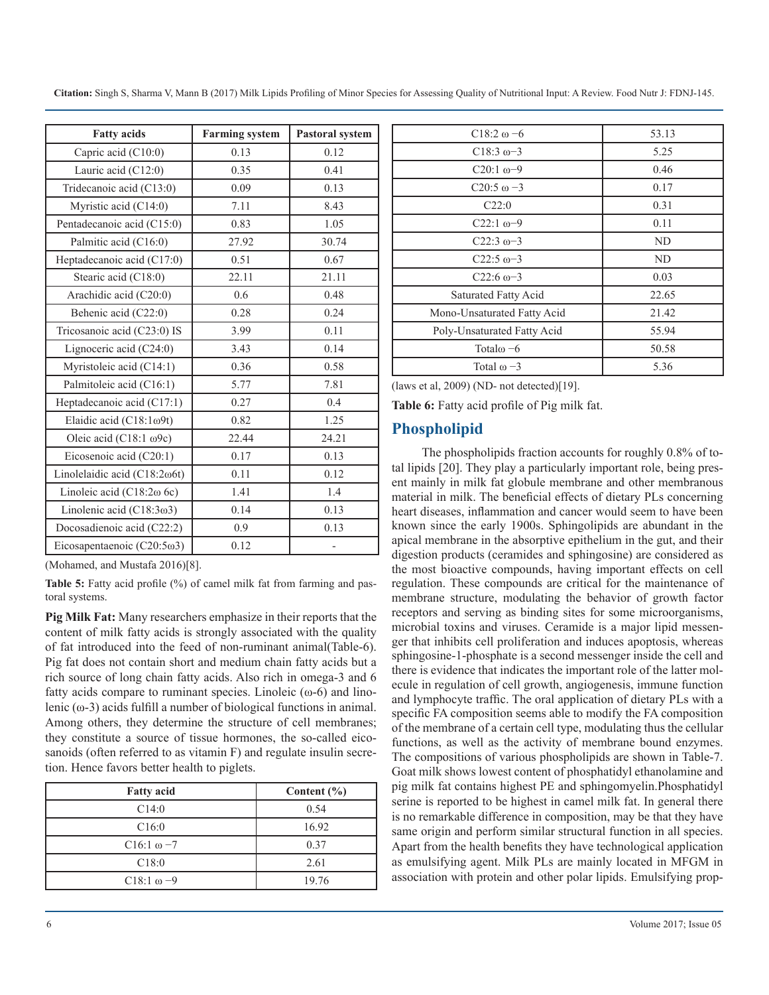|  |  |  |  |  | Citation: Singh S, Sharma V, Mann B (2017) Milk Lipids Profiling of Minor Species for Assessing Quality of Nutritional Input: A Review. Food Nutr J: FDNJ-145. |
|--|--|--|--|--|----------------------------------------------------------------------------------------------------------------------------------------------------------------|
|--|--|--|--|--|----------------------------------------------------------------------------------------------------------------------------------------------------------------|

| <b>Fatty acids</b>                | <b>Farming system</b> | Pastoral system |
|-----------------------------------|-----------------------|-----------------|
| Capric acid (C10:0)               | 0.13                  | 0.12            |
| Lauric acid (C12:0)               | 0.35                  | 0.41            |
| Tridecanoic acid (C13:0)          | 0.09                  | 0.13            |
| Myristic acid (C14:0)             | 7.11                  | 8.43            |
| Pentadecanoic acid (C15:0)        | 0.83                  | 1.05            |
| Palmitic acid (C16:0)             | 27.92                 | 30.74           |
| Heptadecanoic acid (C17:0)        | 0.51                  | 0.67            |
| Stearic acid (C18:0)              | 22.11                 | 21.11           |
| Arachidic acid (C20:0)            | 0.6                   | 0.48            |
| Behenic acid (C22:0)              | 0.28                  | 0.24            |
| Tricosanoic acid (C23:0) IS       | 3.99                  | 0.11            |
| Lignoceric acid (C24:0)           | 3.43                  | 0.14            |
| Myristoleic acid (C14:1)          | 0.36                  | 0.58            |
| Palmitoleic acid (C16:1)          | 5.77                  | 7.81            |
| Heptadecanoic acid (C17:1)        | 0.27                  | 0.4             |
| Elaidic acid (C18:1ω9t)           | 0.82                  | 1.25            |
| Oleic acid (C18:1 ω9c)            | 22.44                 | 24.21           |
| Eicosenoic acid (C20:1)           | 0.17                  | 0.13            |
| Linolelaidic acid (C18:2ω6t)      | 0.11                  | 0.12            |
| Linoleic acid $(C18:2\omega)$ 6c) | 1.41                  | 1.4             |
| Linolenic acid $(C18:3\omega3)$   | 0.14                  | 0.13            |
| Docosadienoic acid (C22:2)        | 0.9                   | 0.13            |
| Eicosapentaenoic (C20:5ω3)        | 0.12                  | $\overline{a}$  |

(Mohamed, and Mustafa 2016)[8].

**Table 5:** Fatty acid profile (%) of camel milk fat from farming and pastoral systems.

**Pig Milk Fat:** Many researchers emphasize in their reports that the content of milk fatty acids is strongly associated with the quality of fat introduced into the feed of non-ruminant animal(Table-6). Pig fat does not contain short and medium chain fatty acids but a rich source of long chain fatty acids. Also rich in omega-3 and 6 fatty acids compare to ruminant species. Linoleic  $(\omega - 6)$  and linolenic (ω-3) acids fulfill a number of biological functions in animal. Among others, they determine the structure of cell membranes; they constitute a source of tissue hormones, the so-called eicosanoids (often referred to as vitamin F) and regulate insulin secretion. Hence favors better health to piglets.

| <b>Fatty acid</b>  | Content $(\% )$ |
|--------------------|-----------------|
| C14:0              | 0.54            |
| C16:0              | 16.92           |
| $C16:1 \omega - 7$ | 0.37            |
| C18:0              | 2.61            |
| $C18:1 \omega - 9$ | 19.76           |

| $C18:2 \omega - 6$          | 53.13 |
|-----------------------------|-------|
| $C18:3 \omega - 3$          | 5.25  |
| $C20:1\omega - 9$           | 0.46  |
| $C20:5 \omega - 3$          | 0.17  |
| C22:0                       | 0.31  |
| $C22:1\omega - 9$           | 0.11  |
| $C22:3\omega-3$             | ND    |
| $C22:5 \omega - 3$          | ND    |
| $C22:6 \omega - 3$          | 0.03  |
| Saturated Fatty Acid        | 22.65 |
| Mono-Unsaturated Fatty Acid | 21.42 |
| Poly-Unsaturated Fatty Acid | 55.94 |
| Total $\omega$ –6           | 50.58 |
| Total $\omega$ -3           | 5.36  |
|                             |       |

(laws et al, 2009) (ND- not detected)[19].

**Table 6:** Fatty acid profile of Pig milk fat.

## **Phospholipid**

The phospholipids fraction accounts for roughly 0.8% of total lipids [20]. They play a particularly important role, being present mainly in milk fat globule membrane and other membranous material in milk. The beneficial effects of dietary PLs concerning heart diseases, inflammation and cancer would seem to have been known since the early 1900s. Sphingolipids are abundant in the apical membrane in the absorptive epithelium in the gut, and their digestion products (ceramides and sphingosine) are considered as the most bioactive compounds, having important effects on cell regulation. These compounds are critical for the maintenance of membrane structure, modulating the behavior of growth factor receptors and serving as binding sites for some microorganisms, microbial toxins and viruses. Ceramide is a major lipid messenger that inhibits cell proliferation and induces apoptosis, whereas sphingosine-1-phosphate is a second messenger inside the cell and there is evidence that indicates the important role of the latter molecule in regulation of cell growth, angiogenesis, immune function and lymphocyte traffic. The oral application of dietary PLs with a specific FA composition seems able to modify the FA composition of the membrane of a certain cell type, modulating thus the cellular functions, as well as the activity of membrane bound enzymes. The compositions of various phospholipids are shown in Table-7. Goat milk shows lowest content of phosphatidyl ethanolamine and pig milk fat contains highest PE and sphingomyelin.Phosphatidyl serine is reported to be highest in camel milk fat. In general there is no remarkable difference in composition, may be that they have same origin and perform similar structural function in all species. Apart from the health benefits they have technological application as emulsifying agent. Milk PLs are mainly located in MFGM in association with protein and other polar lipids. Emulsifying prop-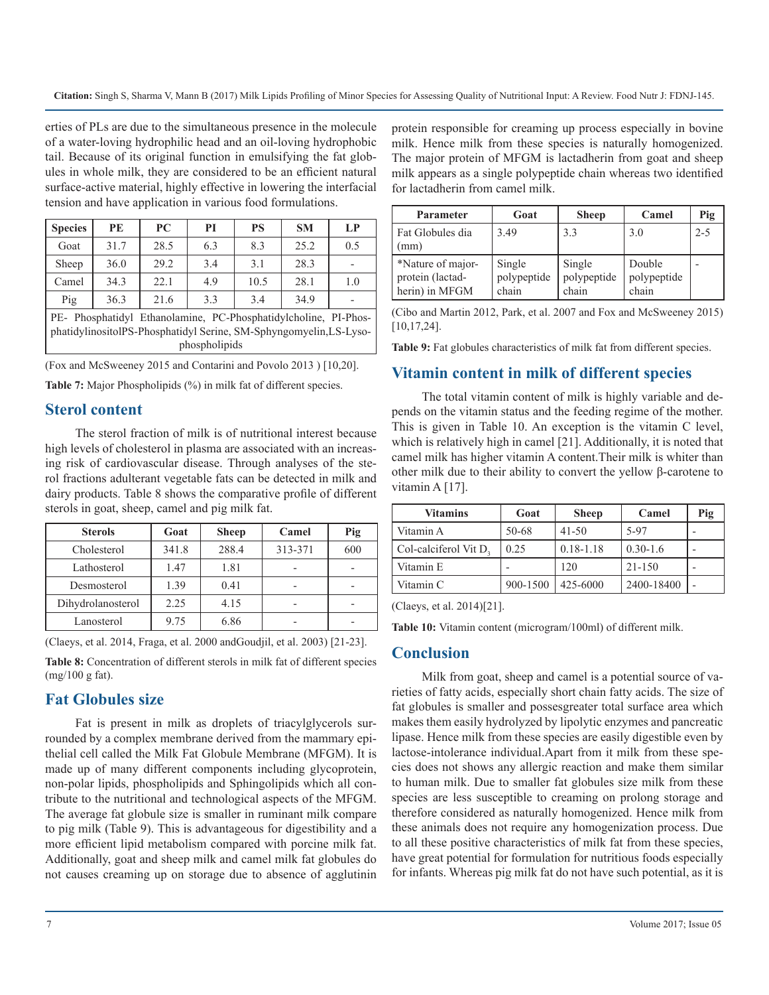erties of PLs are due to the simultaneous presence in the molecule of a water-loving hydrophilic head and an oil-loving hydrophobic tail. Because of its original function in emulsifying the fat globules in whole milk, they are considered to be an efficient natural surface-active material, highly effective in lowering the interfacial tension and have application in various food formulations.

| <b>Species</b>                                                                                                                                        | PE   | PC   | PI  | <b>PS</b> | <b>SM</b> | LP  |
|-------------------------------------------------------------------------------------------------------------------------------------------------------|------|------|-----|-----------|-----------|-----|
| Goat                                                                                                                                                  | 31.7 | 28.5 | 6.3 | 8.3       | 25.2      | 0.5 |
| Sheep                                                                                                                                                 | 36.0 | 29.2 | 3.4 | 3.1       | 28.3      |     |
| Camel                                                                                                                                                 | 34.3 | 22.1 | 4.9 | 10.5      | 28.1      | 1.0 |
| Pig                                                                                                                                                   | 36.3 | 21.6 | 3.3 | 3.4       | 34.9      |     |
| PE- Phosphatidyl Ethanolamine, PC-Phosphatidylcholine, PI-Phos-<br>phatidylinositolPS-Phosphatidyl Serine, SM-Sphyngomyelin,LS-Lyso-<br>phospholipids |      |      |     |           |           |     |

(Fox and McSweeney 2015 and Contarini and Povolo 2013 ) [10,20].

**Table 7:** Major Phospholipids (%) in milk fat of different species.

## **Sterol content**

The sterol fraction of milk is of nutritional interest because high levels of cholesterol in plasma are associated with an increasing risk of cardiovascular disease. Through analyses of the sterol fractions adulterant vegetable fats can be detected in milk and dairy products. Table 8 shows the comparative profile of different sterols in goat, sheep, camel and pig milk fat.

| <b>Sterols</b>    | Goat  | <b>Sheep</b> | Camel   | Pig |
|-------------------|-------|--------------|---------|-----|
| Cholesterol       | 341.8 | 288.4        | 313-371 | 600 |
| Lathosterol       | 1.47  | 1.81         |         |     |
| Desmosterol       | 1.39  | 0.41         |         |     |
| Dihydrolanosterol | 2.25  | 4.15         |         |     |
| Lanosterol        | 9.75  | 6.86         |         |     |

(Claeys, et al. 2014, Fraga, et al. 2000 andGoudjil, et al. 2003) [21-23].

**Table 8:** Concentration of different sterols in milk fat of different species (mg/100 g fat).

## **Fat Globules size**

Fat is present in milk as droplets of triacylglycerols surrounded by a complex membrane derived from the mammary epithelial cell called the Milk Fat Globule Membrane (MFGM). It is made up of many different components including glycoprotein, non-polar lipids, phospholipids and Sphingolipids which all contribute to the nutritional and technological aspects of the MFGM. The average fat globule size is smaller in ruminant milk compare to pig milk (Table 9). This is advantageous for digestibility and a more efficient lipid metabolism compared with porcine milk fat. Additionally, goat and sheep milk and camel milk fat globules do not causes creaming up on storage due to absence of agglutinin

protein responsible for creaming up process especially in bovine milk. Hence milk from these species is naturally homogenized. The major protein of MFGM is lactadherin from goat and sheep milk appears as a single polypeptide chain whereas two identified for lactadherin from camel milk.

| <b>Parameter</b>                                        | Goat                           | <b>Sheep</b>                   | Camel                          | Pig     |
|---------------------------------------------------------|--------------------------------|--------------------------------|--------------------------------|---------|
| Fat Globules dia<br>(mm)                                | 3.49                           | 3.3                            | 3.0                            | $2 - 5$ |
| *Nature of major-<br>protein (lactad-<br>herin) in MFGM | Single<br>polypeptide<br>chain | Single<br>polypeptide<br>chain | Double<br>polypeptide<br>chain |         |

(Cibo and Martin 2012, Park, et al. 2007 and Fox and McSweeney 2015) [10,17,24].

**Table 9:** Fat globules characteristics of milk fat from different species.

## **Vitamin content in milk of different species**

The total vitamin content of milk is highly variable and depends on the vitamin status and the feeding regime of the mother. This is given in Table 10. An exception is the vitamin C level, which is relatively high in camel [21]. Additionally, it is noted that camel milk has higher vitamin A content.Their milk is whiter than other milk due to their ability to convert the yellow β-carotene to vitamin A [17].

| <b>Vitamins</b>       | Goat     | <b>Sheep</b>  | Camel        | Pig |
|-----------------------|----------|---------------|--------------|-----|
| Vitamin A             | 50-68    | $41 - 50$     | 5-97         |     |
| Col-calciferol Vit D. | 0.25     | $0.18 - 1.18$ | $0.30 - 1.6$ |     |
| Vitamin E             |          | 120           | 21-150       |     |
| Vitamin C             | 900-1500 | 425-6000      | 2400-18400   | -   |

(Claeys, et al. 2014)[21].

**Table 10:** Vitamin content (microgram/100ml) of different milk.

## **Conclusion**

Milk from goat, sheep and camel is a potential source of varieties of fatty acids, especially short chain fatty acids. The size of fat globules is smaller and possesgreater total surface area which makes them easily hydrolyzed by lipolytic enzymes and pancreatic lipase. Hence milk from these species are easily digestible even by lactose-intolerance individual.Apart from it milk from these species does not shows any allergic reaction and make them similar to human milk. Due to smaller fat globules size milk from these species are less susceptible to creaming on prolong storage and therefore considered as naturally homogenized. Hence milk from these animals does not require any homogenization process. Due to all these positive characteristics of milk fat from these species, have great potential for formulation for nutritious foods especially for infants. Whereas pig milk fat do not have such potential, as it is